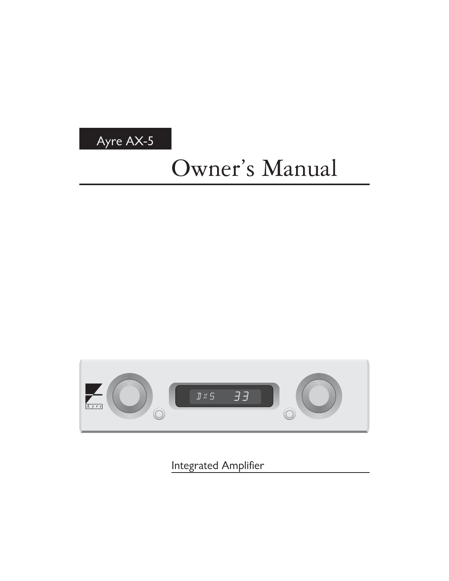

# Owner's Manual



Integrated Amplifier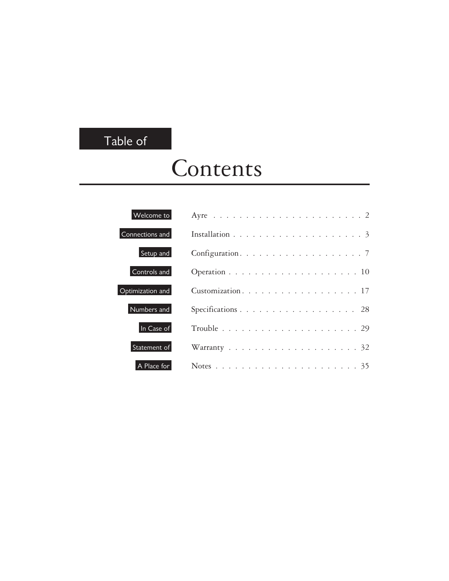### Table of

# Contents

| Welcome to       | Ayre $\ldots \ldots \ldots \ldots \ldots \ldots \ldots \ldots \ldots 2$ |
|------------------|-------------------------------------------------------------------------|
| Connections and  |                                                                         |
| Setup and        |                                                                         |
| Controls and     |                                                                         |
| Optimization and | Customization. 17                                                       |
| Numbers and      | Specifications 28                                                       |
| In Case of       |                                                                         |
| Statement of     |                                                                         |
| A Place for      |                                                                         |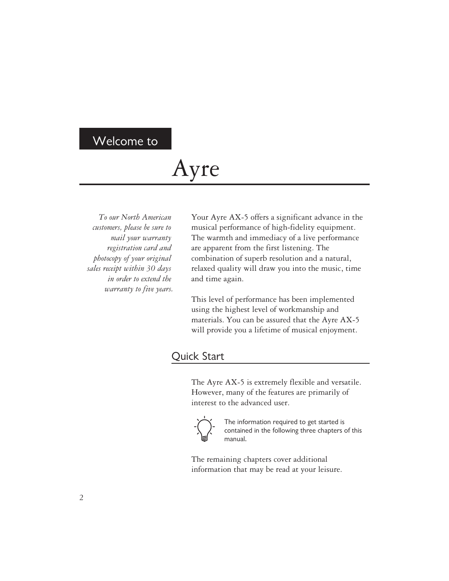#### Welcome to

## Ayre

*To our North American customers, please be sure to mail your warranty registration card and photocopy of your original sales receipt within 30 days in order to extend the warranty to five years.*

Your Ayre AX-5 offers a significant advance in the musical performance of high-fidelity equipment. The warmth and immediacy of a live performance are apparent from the first listening. The combination of superb resolution and a natural, relaxed quality will draw you into the music, time and time again.

This level of performance has been implemented using the highest level of workmanship and materials. You can be assured that the Ayre AX-5 will provide you a lifetime of musical enjoyment.

#### Quick Start

The Ayre AX-5 is extremely flexible and versatile. However, many of the features are primarily of interest to the advanced user.



The information required to get started is contained in the following three chapters of this manual.

The remaining chapters cover additional information that may be read at your leisure.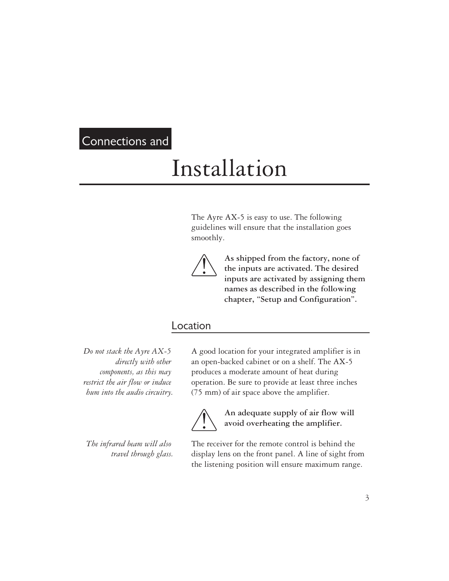#### Connections and

## Installation

The Ayre AX-5 is easy to use. The following guidelines will ensure that the installation goes smoothly.



**As shipped from the factory, none of the inputs are activated. The desired inputs are activated by assigning them names as described in the following chapter, "Setup and Configuration".**

#### Location

*Do not stack the Ayre AX-5 directly with other components, as this may restrict the air flow or induce hum into the audio circuitry.*

*The infrared beam will also travel through glass.* A good location for your integrated amplifier is in an open-backed cabinet or on a shelf. The AX-5 produces a moderate amount of heat during operation. Be sure to provide at least three inches (75 mm) of air space above the amplifier.



**An adequate supply of air flow will avoid overheating the amplifier.**

The receiver for the remote control is behind the display lens on the front panel. A line of sight from the listening position will ensure maximum range.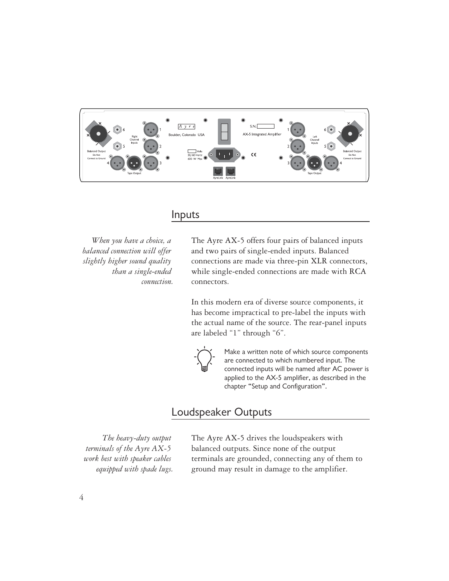

#### Inputs

*When you have a choice, a balanced connection will offer slightly higher sound quality than a single-ended connection.* The Ayre AX-5 offers four pairs of balanced inputs and two pairs of single-ended inputs. Balanced connections are made via three-pin XLR connectors, while single-ended connections are made with RCA connectors.

In this modern era of diverse source components, it has become impractical to pre-label the inputs with the actual name of the source. The rear-panel inputs are labeled "1" through "6".



Make a written note of which source components are connected to which numbered input. The connected inputs will be named after AC power is applied to the AX-5 amplifier, as described in the chapter "Setup and Configuration".

#### Loudspeaker Outputs

*The heavy-duty output terminals of the Ayre AX-5 work best with speaker cables equipped with spade lugs.* The Ayre AX-5 drives the loudspeakers with balanced outputs. Since none of the output terminals are grounded, connecting any of them to ground may result in damage to the amplifier.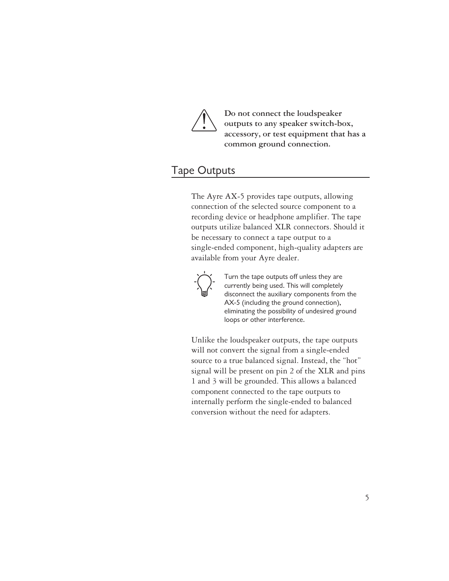

**Do not connect the loudspeaker outputs to any speaker switch-box, accessory, or test equipment that has a common ground connection.**

#### Tape Outputs

The Ayre AX-5 provides tape outputs, allowing connection of the selected source component to a recording device or headphone amplifier. The tape outputs utilize balanced XLR connectors. Should it be necessary to connect a tape output to a single-ended component, high-quality adapters are available from your Ayre dealer.



Turn the tape outputs off unless they are currently being used. This will completely disconnect the auxiliary components from the AX-5 (including the ground connection), eliminating the possibility of undesired ground loops or other interference.

Unlike the loudspeaker outputs, the tape outputs will not convert the signal from a single-ended source to a true balanced signal. Instead, the "hot" signal will be present on pin 2 of the XLR and pins 1 and 3 will be grounded. This allows a balanced component connected to the tape outputs to internally perform the single-ended to balanced conversion without the need for adapters.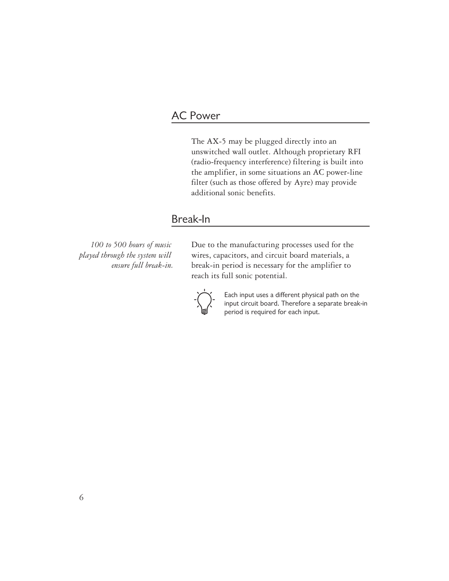#### AC Power

The AX-5 may be plugged directly into an unswitched wall outlet. Although proprietary RFI (radio-frequency interference) filtering is built into the amplifier, in some situations an AC power-line filter (such as those offered by Ayre) may provide additional sonic benefits.

#### Break-In

*100 to 500 hours of music played through the system will ensure full break-in.* Due to the manufacturing processes used for the wires, capacitors, and circuit board materials, a break-in period is necessary for the amplifier to reach its full sonic potential.



Each input uses a different physical path on the input circuit board. Therefore a separate break-in period is required for each input.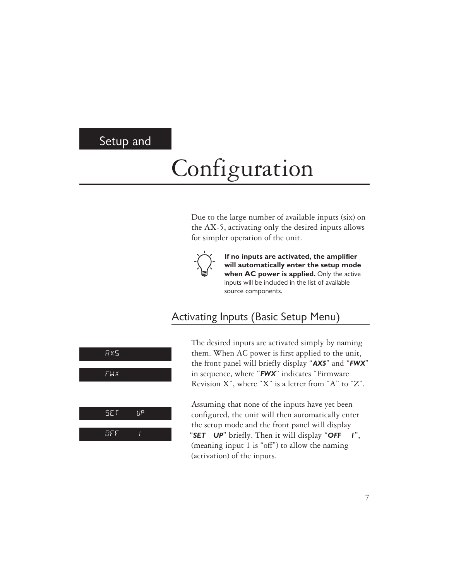#### Setup and

# Configuration

Due to the large number of available inputs (six) on the AX-5, activating only the desired inputs allows for simpler operation of the unit.



**If no inputs are activated, the amplifier will automatically enter the setup mode when AC power is applied.** Only the active inputs will be included in the list of available source components.

#### Activating Inputs (Basic Setup Menu)



The desired inputs are activated simply by naming them. When AC power is first applied to the unit, the front panel will briefly display "*AX5*" and "*FWX*" in sequence, where "*FWX*" indicates "Firmware Revision X", where "X" is a letter from "A" to "Z".

Assuming that none of the inputs have yet been configured, the unit will then automatically enter the setup mode and the front panel will display "*SET UP*" briefly. Then it will display "*OFF 1*", (meaning input 1 is "off") to allow the naming (activation) of the inputs.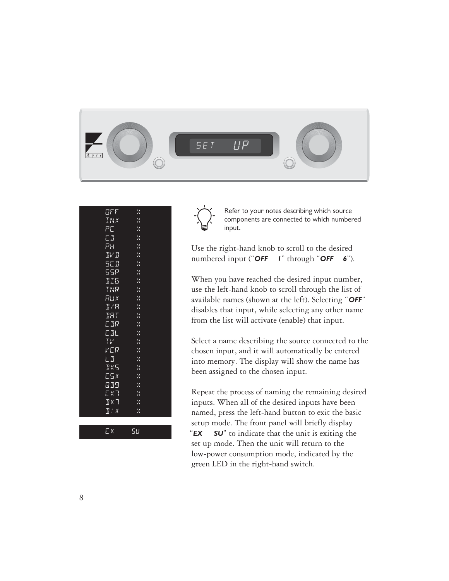

| OFF                                                | ×  |  |
|----------------------------------------------------|----|--|
| INX                                                | ×  |  |
| PE                                                 | ×  |  |
| ΕI                                                 | X  |  |
| PН                                                 | X  |  |
| $\Pi V$ $\Pi$                                      | X  |  |
| SC D                                               | X  |  |
| 55P                                                | X  |  |
| <b>II5</b>                                         | ×  |  |
| TNR                                                | ×  |  |
| RUX                                                | X  |  |
| J/R                                                | X  |  |
| BHT                                                | X  |  |
| E DR                                               | X  |  |
| $\overline{\mathbb{E} \, \mathbb{B}_{\mathbb{L}}}$ | ×  |  |
| TV                                                 | ×  |  |
| VER                                                | ×  |  |
| LI                                                 | X  |  |
| <b>IKS</b>                                         | ×  |  |
| ESX                                                | X  |  |
| 889                                                | X  |  |
| EXI                                                | ×  |  |
| $\mathbb{R} \times \mathbb{R}$                     | X  |  |
| II! X                                              | X  |  |
|                                                    |    |  |
| Ex                                                 | 5U |  |

Refer to your notes describing which source components are connected to which numbered input.

Use the right-hand knob to scroll to the desired numbered input ("*OFF 1*" through "*OFF 6*").

When you have reached the desired input number, use the left-hand knob to scroll through the list of available names (shown at the left). Selecting "*OFF*" disables that input, while selecting any other name from the list will activate (enable) that input.

Select a name describing the source connected to the chosen input, and it will automatically be entered into memory. The display will show the name has been assigned to the chosen input.

Repeat the process of naming the remaining desired inputs. When all of the desired inputs have been named, press the left-hand button to exit the basic setup mode. The front panel will briefly display "*EX SU*" to indicate that the unit is exiting the set up mode. Then the unit will return to the low-power consumption mode, indicated by the green LED in the right-hand switch.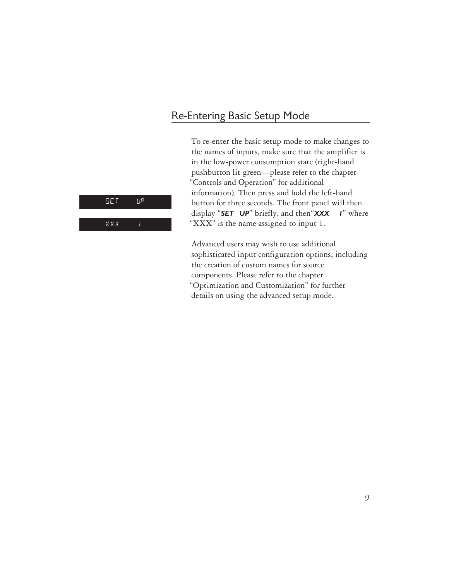#### Re-Entering Basic Setup Mode

To re-enter the basic setup mode to make changes to the names of inputs, make sure that the amplifier is in the low-power consumption state (right-hand pushbutton lit green—please refer to the chapter "Controls and Operation" for additional information). Then press and hold the left-hand button for three seconds. The front panel will then display "*SET UP*" briefly, and then"*XXX 1*" where "XXX" is the name assigned to input 1.

Advanced users may wish to use additional sophisticated input configuration options, including the creation of custom names for source components. Please refer to the chapter "Optimization and Customization" for further details on using the advanced setup mode.



 $\frac{1}{2}$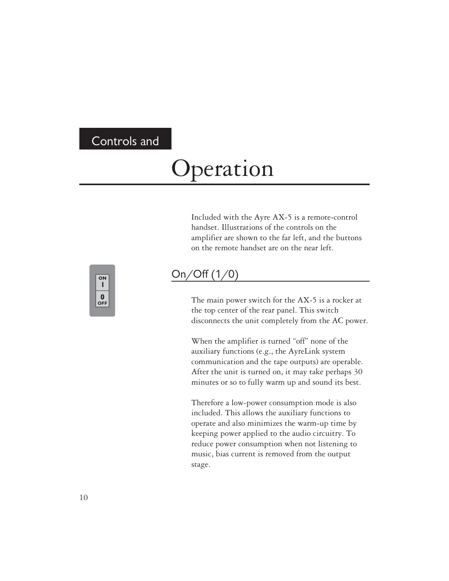#### Controls and

## Operation

Included with the Ayre AX-5 is a remote-control handset. Illustrations of the controls on the amplifier are shown to the far left, and the buttons on the remote handset are on the near left.



#### On/Off (1/0)

The main power switch for the AX-5 is a rocker at the top center of the rear panel. This switch disconnects the unit completely from the AC power.

When the amplifier is turned "off" none of the auxiliary functions (e.g., the AyreLink system communication and the tape outputs) are operable. After the unit is turned on, it may take perhaps 30 minutes or so to fully warm up and sound its best.

Therefore a low-power consumption mode is also included. This allows the auxiliary functions to operate and also minimizes the warm-up time by keeping power applied to the audio circuitry. To reduce power consumption when not listening to music, bias current is removed from the output stage.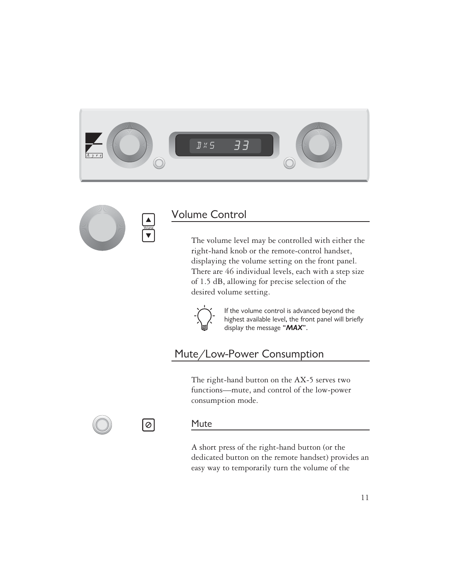



#### Volume Control

The volume level may be controlled with either the right-hand knob or the remote-control handset, displaying the volume setting on the front panel. There are 46 individual levels, each with a step size of 1.5 dB, allowing for precise selection of the desired volume setting.



If the volume control is advanced beyond the highest available level, the front panel will briefly display the message "*MAX*".

#### Mute/Low-Power Consumption

The right-hand button on the AX-5 serves two functions—mute, and control of the low-power consumption mode.



|⊘

#### Mute

A short press of the right-hand button (or the dedicated button on the remote handset) provides an easy way to temporarily turn the volume of the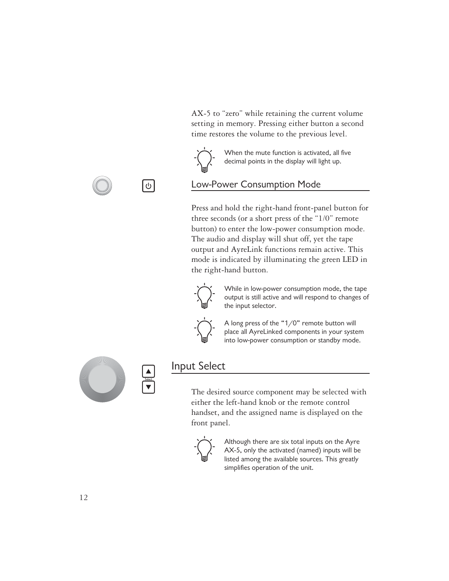AX-5 to "zero" while retaining the current volume setting in memory. Pressing either button a second time restores the volume to the previous level.



 $\bigcirc$ 

When the mute function is activated, all five decimal points in the display will light up.

#### Low-Power Consumption Mode

Press and hold the right-hand front-panel button for three seconds (or a short press of the "1/0" remote button) to enter the low-power consumption mode. The audio and display will shut off, yet the tape output and AyreLink functions remain active. This mode is indicated by illuminating the green LED in the right-hand button.



While in low-power consumption mode, the tape output is still active and will respond to changes of the input selector.



A long press of the "1/0" remote button will place all AyreLinked components in your system into low-power consumption or standby mode.



#### Input Select

The desired source component may be selected with either the left-hand knob or the remote control handset, and the assigned name is displayed on the front panel.



Although there are six total inputs on the Ayre AX-5, only the activated (named) inputs will be listed among the available sources. This greatly simplifies operation of the unit.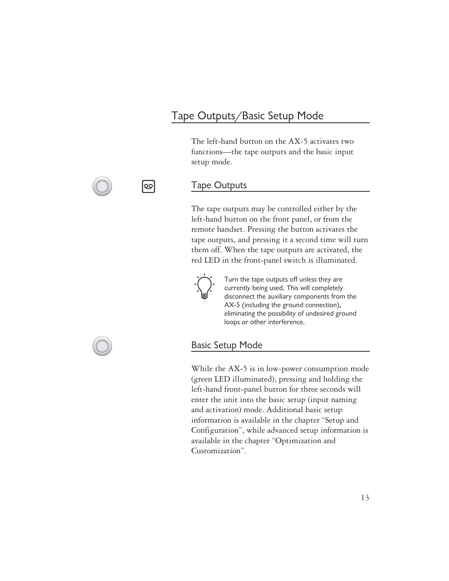#### Tape Outputs/Basic Setup Mode

The left-hand button on the AX-5 activates two functions—the tape outputs and the basic input setup mode.

#### Tape Outputs

The tape outputs may be controlled either by the left-hand button on the front panel, or from the remote handset. Pressing the button activates the tape outputs, and pressing it a second time will turn them off. When the tape outputs are activated, the red LED in the front-panel switch is illuminated.



Turn the tape outputs off unless they are currently being used. This will completely disconnect the auxiliary components from the AX-5 (including the ground connection), eliminating the possibility of undesired ground loops or other interference.

#### Basic Setup Mode

While the AX-5 is in low-power consumption mode (green LED illuminated), pressing and holding the left-hand front-panel button for three seconds will enter the unit into the basic setup (input naming and activation) mode. Additional basic setup information is available in the chapter "Setup and Configuration", while advanced setup information is available in the chapter "Optimization and Customization".



loo

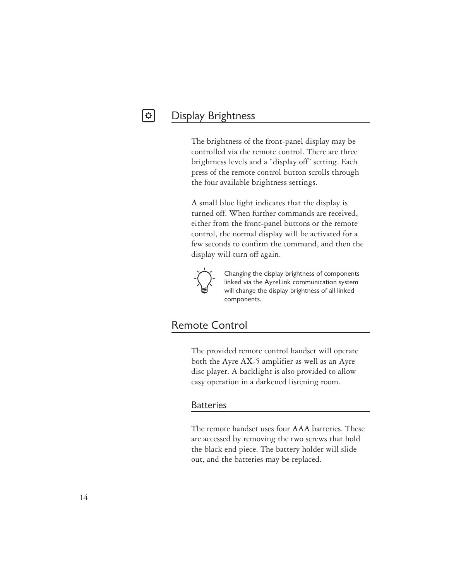#### Display Brightness

 $|\bm{\varphi}|$ 

The brightness of the front-panel display may be controlled via the remote control. There are three brightness levels and a "display off" setting. Each press of the remote control button scrolls through the four available brightness settings.

A small blue light indicates that the display is turned off. When further commands are received, either from the front-panel buttons or the remote control, the normal display will be activated for a few seconds to confirm the command, and then the display will turn off again.



Changing the display brightness of components linked via the AyreLink communication system will change the display brightness of all linked components.

#### Remote Control

The provided remote control handset will operate both the Ayre AX-5 amplifier as well as an Ayre disc player. A backlight is also provided to allow easy operation in a darkened listening room.

#### **Batteries**

The remote handset uses four AAA batteries. These are accessed by removing the two screws that hold the black end piece. The battery holder will slide out, and the batteries may be replaced.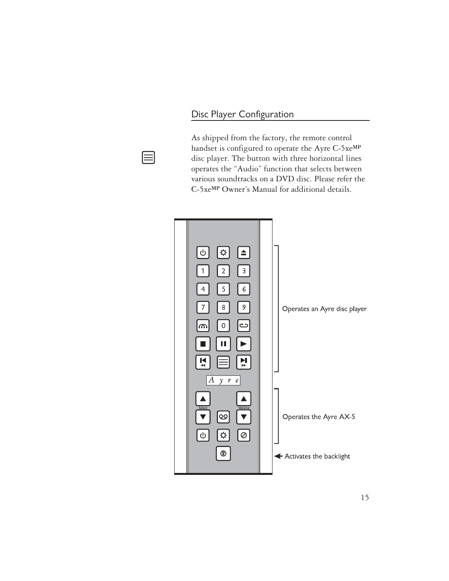#### Disc Player Configuration



As shipped from the factory, the remote control handset is configured to operate the Ayre C-5xe**MP** disc player. The button with three horizontal lines operates the "Audio" function that selects between various soundtracks on a DVD disc. Please refer the C-5xe**MP** Owner's Manual for additional details.

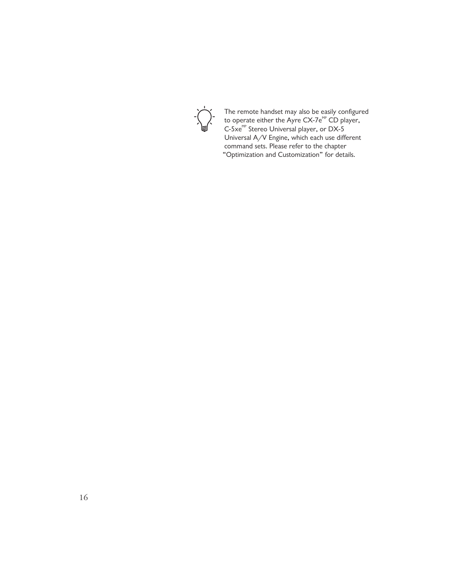

The remote handset may also be easily configured to operate either the Ayre CX-7e $^{\sf MP}$  CD player, C-5 $\times$ <sup>MP</sup> Stereo Universal player, or DX-5 Universal A/V Engine, which each use different command sets. Please refer to the chapter "Optimization and Customization" for details.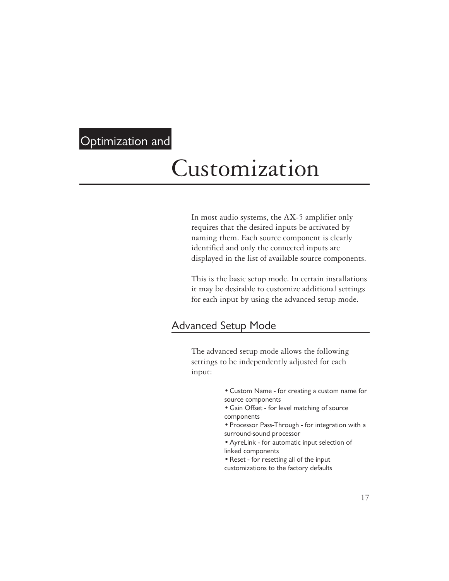### Optimization and

### Customization

In most audio systems, the AX-5 amplifier only requires that the desired inputs be activated by naming them. Each source component is clearly identified and only the connected inputs are displayed in the list of available source components.

This is the basic setup mode. In certain installations it may be desirable to customize additional settings for each input by using the advanced setup mode.

#### Advanced Setup Mode

The advanced setup mode allows the following settings to be independently adjusted for each input:

- Custom Name for creating a custom name for source components
- Gain Offset for level matching of source components
- Processor Pass-Through for integration with a surround-sound processor
- AyreLink for automatic input selection of linked components
- Reset for resetting all of the input customizations to the factory defaults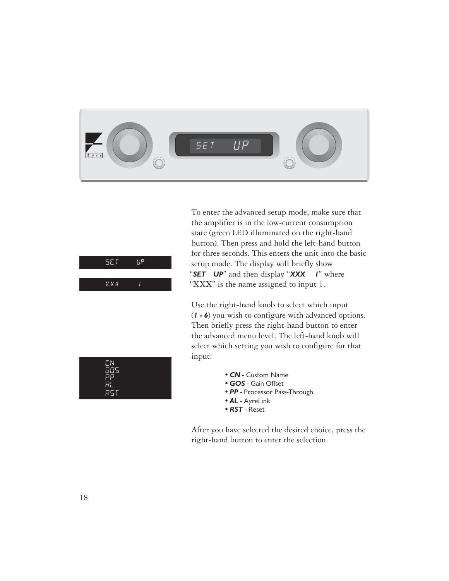

| 5E F        | ם! ! |  |
|-------------|------|--|
|             |      |  |
| $X$ $X$ $X$ | H    |  |

To enter the advanced setup mode, make sure that the amplifier is in the low-current consumption state (green LED illuminated on the right-hand button). Then press and hold the left-hand button for three seconds. This enters the unit into the basic setup mode. The display will briefly show "*SET UP*" and then display "*XXX 1*" where "XXX" is the name assigned to input 1.

Use the right-hand knob to select which input (*1 - 6*) you wish to configure with advanced options. Then briefly press the right-hand button to enter the advanced menu level. The left-hand knob will select which setting you wish to configure for that input:



- *CN* Custom Name
- *GOS* Gain Offset
- *PP* Processor Pass-Through
- *AL* AyreLink
- *RST* Reset

After you have selected the desired choice, press the right-hand button to enter the selection.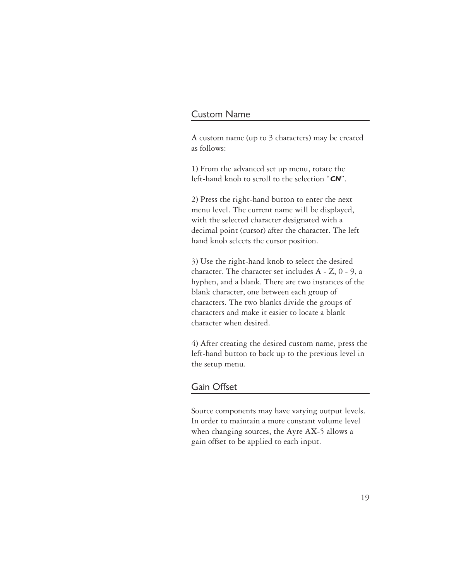#### Custom Name

A custom name (up to 3 characters) may be created as follows:

1) From the advanced set up menu, rotate the left-hand knob to scroll to the selection "*CN*".

2) Press the right-hand button to enter the next menu level. The current name will be displayed, with the selected character designated with a decimal point (cursor) after the character. The left hand knob selects the cursor position.

3) Use the right-hand knob to select the desired character. The character set includes A - Z, 0 - 9, a hyphen, and a blank. There are two instances of the blank character, one between each group of characters. The two blanks divide the groups of characters and make it easier to locate a blank character when desired.

4) After creating the desired custom name, press the left-hand button to back up to the previous level in the setup menu.

#### Gain Offset

Source components may have varying output levels. In order to maintain a more constant volume level when changing sources, the Ayre AX-5 allows a gain offset to be applied to each input.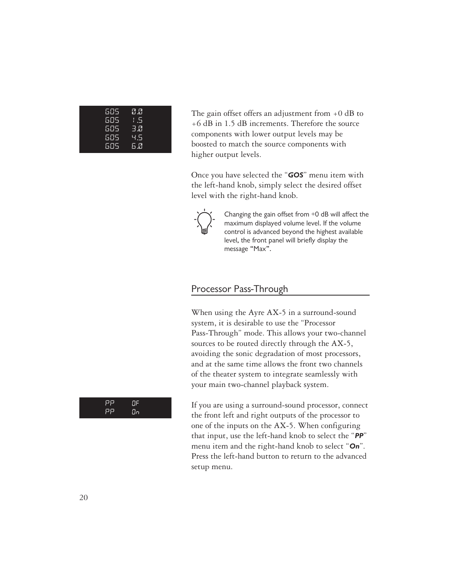| 505. | 0.0 |  |
|------|-----|--|
| 605  | 1.5 |  |
| 685. | 3.0 |  |
| 605  | ч5  |  |
| 605  | 6.0 |  |

The gain offset offers an adjustment from  $+0$  dB to +6 dB in 1.5 dB increments. Therefore the source components with lower output levels may be boosted to match the source components with higher output levels.

Once you have selected the "*GOS*" menu item with the left-hand knob, simply select the desired offset level with the right-hand knob.



Changing the gain offset from +0 dB will affect the maximum displayed volume level. If the volume control is advanced beyond the highest available level, the front panel will briefly display the message "Max".

#### Processor Pass-Through

When using the Ayre AX-5 in a surround-sound system, it is desirable to use the "Processor Pass-Through" mode. This allows your two-channel sources to be routed directly through the AX-5, avoiding the sonic degradation of most processors, and at the same time allows the front two channels of the theater system to integrate seamlessly with your main two-channel playback system.

If you are using a surround-sound processor, connect the front left and right outputs of the processor to one of the inputs on the AX-5. When configuring that input, use the left-hand knob to select the "*PP*" menu item and the right-hand knob to select "*On*". Press the left-hand button to return to the advanced setup menu.

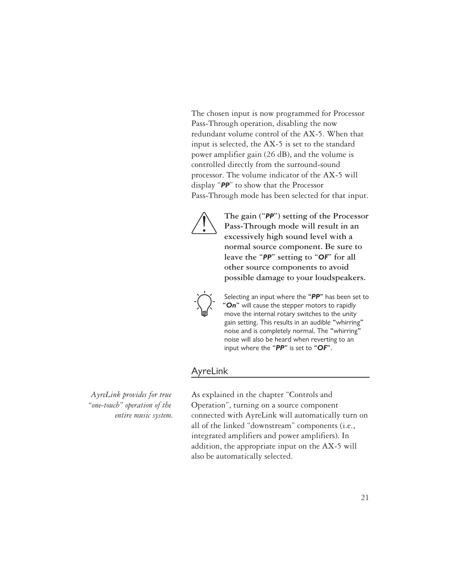The chosen input is now programmed for Processor Pass-Through operation, disabling the now redundant volume control of the AX-5. When that input is selected, the AX-5 is set to the standard power amplifier gain (26 dB), and the volume is controlled directly from the surround-sound processor. The volume indicator of the AX-5 will display "*PP*" to show that the Processor Pass-Through mode has been selected for that input.



**The gain ("***PP***") setting of the Processor Pass-Through mode will result in an excessively high sound level with a normal source component. Be sure to leave the "***PP***" setting to "***OF***" for all other source components to avoid possible damage to your loudspeakers.**



Selecting an input where the "*PP*" has been set to "*On*" will cause the stepper motors to rapidly move the internal rotary switches to the unity gain setting. This results in an audible "whirring" noise and is completely normal. The "whirring" noise will also be heard when reverting to an input where the "*PP*" is set to "*OF*".

#### AyreLink

*AyreLink provides for true "one-touch" operation of the entire music system.*

As explained in the chapter "Controls and Operation", turning on a source component connected with AyreLink will automatically turn on all of the linked "downstream" components (i.e., integrated amplifiers and power amplifiers). In addition, the appropriate input on the AX-5 will also be automatically selected.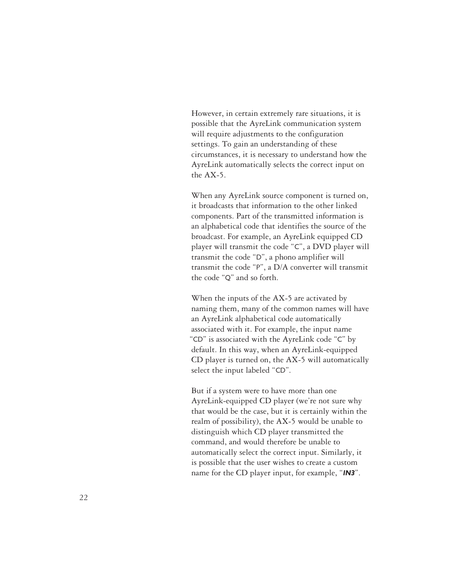However, in certain extremely rare situations, it is possible that the AyreLink communication system will require adjustments to the configuration settings. To gain an understanding of these circumstances, it is necessary to understand how the AyreLink automatically selects the correct input on the AX-5.

When any AyreLink source component is turned on, it broadcasts that information to the other linked components. Part of the transmitted information is an alphabetical code that identifies the source of the broadcast. For example, an AyreLink equipped CD player will transmit the code "C", a DVD player will transmit the code "D", a phono amplifier will transmit the code "P", a D/A converter will transmit the code "Q" and so forth.

When the inputs of the AX-5 are activated by naming them, many of the common names will have an AyreLink alphabetical code automatically associated with it. For example, the input name "CD" is associated with the AyreLink code "C" by default. In this way, when an AyreLink-equipped CD player is turned on, the AX-5 will automatically select the input labeled "CD".

But if a system were to have more than one AyreLink-equipped CD player (we're not sure why that would be the case, but it is certainly within the realm of possibility), the AX-5 would be unable to distinguish which CD player transmitted the command, and would therefore be unable to automatically select the correct input. Similarly, it is possible that the user wishes to create a custom name for the CD player input, for example, "*IN3*".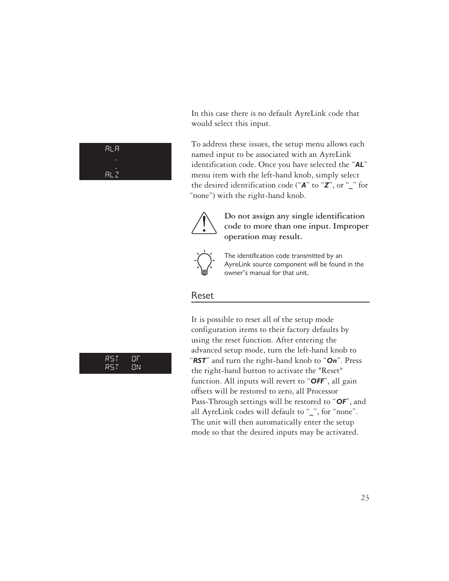In this case there is no default AyreLink code that would select this input.

To address these issues, the setup menu allows each named input to be associated with an AyreLink identification code. Once you have selected the "*AL*" menu item with the left-hand knob, simply select the desired identification code ("*A*" to "*Z*", or "*\_*" for "none") with the right-hand knob.



**Do not assign any single identification code to more than one input. Improper operation may result.**



The identification code transmitted by an AyreLink source component will be found in the owner's manual for that unit.

#### Reset

It is possible to reset all of the setup mode configuration items to their factory defaults by using the reset function. After entering the advanced setup mode, turn the left-hand knob to "*RST*" and turn the right-hand knob to "*On*". Press the right-hand button to activate the "Reset" function. All inputs will revert to "*OFF*", all gain offsets will be restored to zero, all Processor Pass-Through settings will be restored to "*OF*", and all AyreLink codes will default to "*\_*", for "none". The unit will then automatically enter the setup mode so that the desired inputs may be activated.



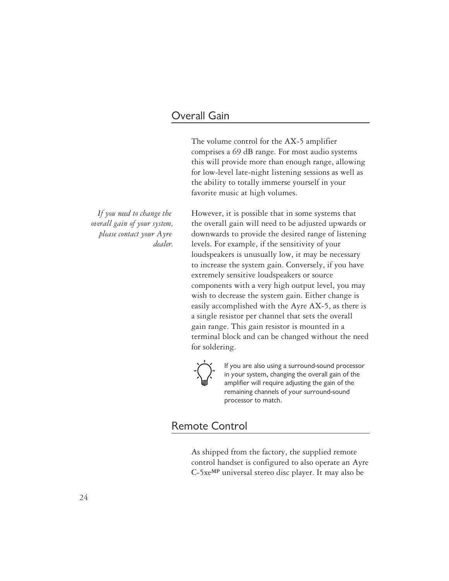#### Overall Gain

The volume control for the AX-5 amplifier comprises a 69 dB range. For most audio systems this will provide more than enough range, allowing for low-level late-night listening sessions as well as the ability to totally immerse yourself in your favorite music at high volumes.

However, it is possible that in some systems that the overall gain will need to be adjusted upwards or downwards to provide the desired range of listening levels. For example, if the sensitivity of your loudspeakers is unusually low, it may be necessary to increase the system gain. Conversely, if you have extremely sensitive loudspeakers or source components with a very high output level, you may wish to decrease the system gain. Either change is easily accomplished with the Ayre AX-5, as there is a single resistor per channel that sets the overall gain range. This gain resistor is mounted in a terminal block and can be changed without the need for soldering.



If you are also using a surround-sound processor in your system, changing the overall gain of the amplifier will require adjusting the gain of the remaining channels of your surround-sound processor to match.

#### Remote Control

As shipped from the factory, the supplied remote control handset is configured to also operate an Ayre C-5xe**MP** universal stereo disc player. It may also be

*If you need to change the overall gain of your system, please contact your Ayre dealer.*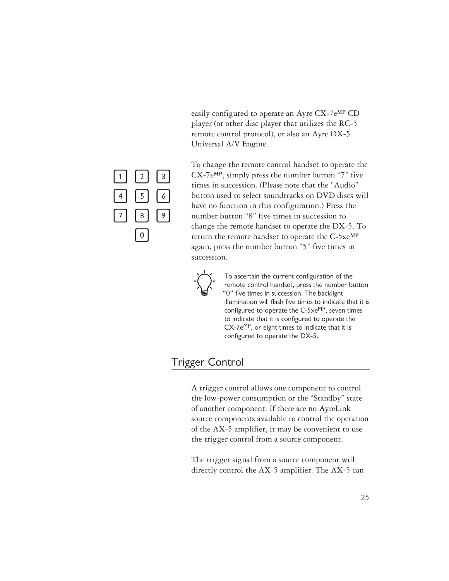easily configured to operate an Ayre CX-7e**MP** CD player (or other disc player that utilizes the RC-5 remote control protocol), or also an Ayre DX-5 Universal A/V Engine.



To change the remote control handset to operate the CX-7e**MP**, simply press the number button "7" five times in succession. (Please note that the "Audio" button used to select soundtracks on DVD discs will have no function in this configuration.) Press the number button "8" five times in succession to change the remote handset to operate the DX-5. To return the remote handset to operate the C-5xe**MP** again, press the number button "5" five times in succession.



To ascertain the current configuration of the remote control handset, press the number button "0" five times in succession. The backlight illumination will flash five times to indicate that it is configured to operate the  $C$ -5xe $MP$ , seven times to indicate that it is configured to operate the  $CX$ -7e $MP$ , or eight times to indicate that it is configured to operate the DX-5.

#### Trigger Control

A trigger control allows one component to control the low-power consumption or the "Standby" state of another component. If there are no AyreLink source components available to control the operation of the AX-5 amplifier, it may be convenient to use the trigger control from a source component.

The trigger signal from a source component will directly control the AX-5 amplifier. The AX-5 can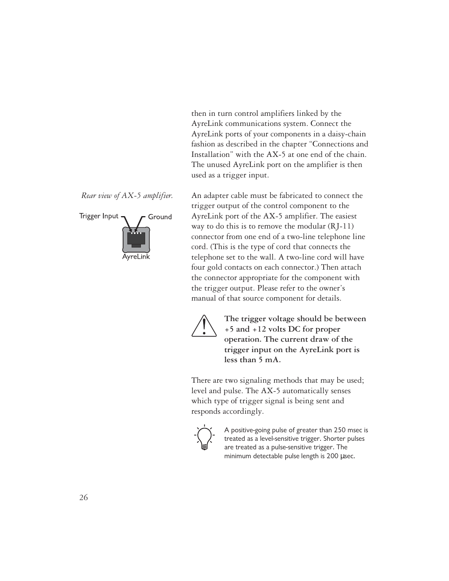then in turn control amplifiers linked by the AyreLink communications system. Connect the AyreLink ports of your components in a daisy-chain fashion as described in the chapter "Connections and Installation" with the AX-5 at one end of the chain. The unused AyreLink port on the amplifier is then used as a trigger input.

trigger output of the control component to the AyreLink port of the AX-5 amplifier. The easiest way to do this is to remove the modular (RJ-11) connector from one end of a two-line telephone line cord. (This is the type of cord that connects the telephone set to the wall. A two-line cord will have four gold contacts on each connector.) Then attach the connector appropriate for the component with the trigger output. Please refer to the owner's manual of that source component for details.



**The trigger voltage should be between +5 and +12 volts DC for proper operation. The current draw of the trigger input on the AyreLink port is less than 5 mA.**

There are two signaling methods that may be used; level and pulse. The AX-5 automatically senses which type of trigger signal is being sent and responds accordingly.



A positive-going pulse of greater than 250 msec is treated as a level-sensitive trigger. Shorter pulses are treated as a pulse-sensitive trigger. The minimum detectable pulse length is 200 µsec.

*Rear view of AX-5 amplifier.* An adapter cable must be fabricated to connect the

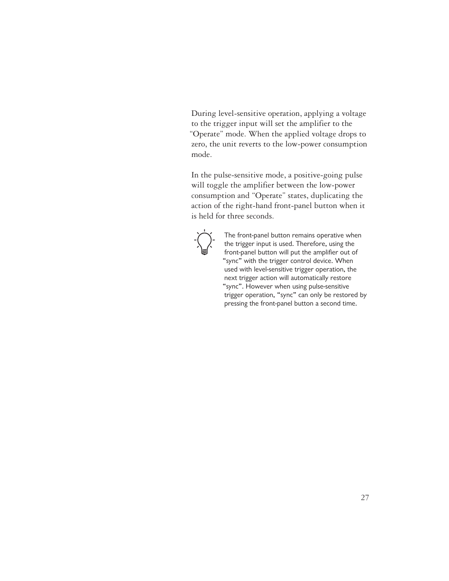During level-sensitive operation, applying a voltage to the trigger input will set the amplifier to the "Operate" mode. When the applied voltage drops to zero, the unit reverts to the low-power consumption mode.

In the pulse-sensitive mode, a positive-going pulse will toggle the amplifier between the low-power consumption and "Operate" states, duplicating the action of the right-hand front-panel button when it is held for three seconds.



The front-panel button remains operative when the trigger input is used. Therefore, using the front-panel button will put the amplifier out of "sync" with the trigger control device. When used with level-sensitive trigger operation, the next trigger action will automatically restore "sync". However when using pulse-sensitive trigger operation, "sync" can only be restored by pressing the front-panel button a second time.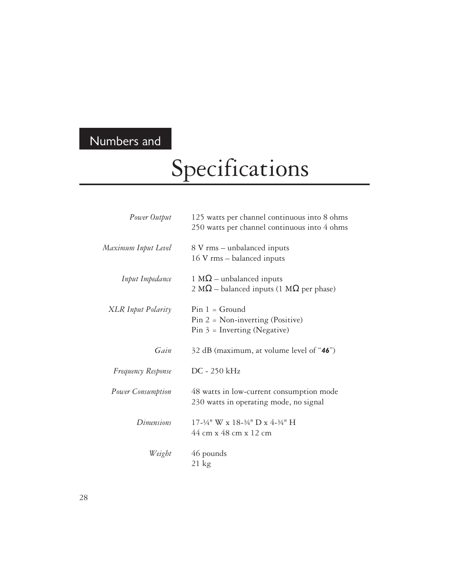### Numbers and

# Specifications

| Power Output              | 125 watts per channel continuous into 8 ohms<br>250 watts per channel continuous into 4 ohms  |
|---------------------------|-----------------------------------------------------------------------------------------------|
| Maximum Input Level       | 8 V rms – unbalanced inputs<br>16 V rms – balanced inputs                                     |
| Input Impedance           | 1 M $\Omega$ – unbalanced inputs<br>2 M $\Omega$ – balanced inputs (1 M $\Omega$ per phase)   |
| <b>XLR</b> Input Polarity | $Pin 1 = Ground$<br>$Pin 2 = Non-inverting (Positive)$<br>$Pin 3 = Inverting (Negative)$      |
| Gain                      | 32 dB (maximum, at volume level of "46")                                                      |
| <b>Frequency Response</b> | $DC - 250$ kHz                                                                                |
| Power Consumption         | 48 watts in low-current consumption mode<br>230 watts in operating mode, no signal            |
| Dimensions                | 17-1/4" W x 18-3/4" D x 4-3/4" H<br>$44 \text{ cm} \times 48 \text{ cm} \times 12 \text{ cm}$ |
| Weight                    | 46 pounds<br>$21 \text{ kg}$                                                                  |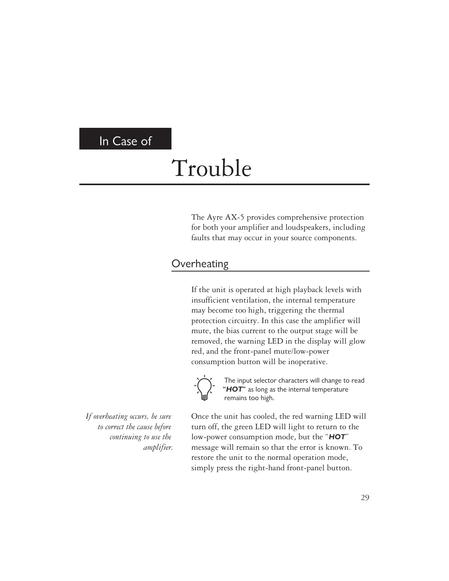#### In Case of

# Trouble

The Ayre AX-5 provides comprehensive protection for both your amplifier and loudspeakers, including faults that may occur in your source components.

#### **Overheating**

If the unit is operated at high playback levels with insufficient ventilation, the internal temperature may become too high, triggering the thermal protection circuitry. In this case the amplifier will mute, the bias current to the output stage will be removed, the warning LED in the display will glow red, and the front-panel mute/low-power consumption button will be inoperative.



The input selector characters will change to read "*HOT*" as long as the internal temperature remains too high.

*If overheating occurs, be sure to correct the cause before continuing to use the amplifier.* Once the unit has cooled, the red warning LED will turn off, the green LED will light to return to the low-power consumption mode, but the "*HOT*" message will remain so that the error is known. To restore the unit to the normal operation mode, simply press the right-hand front-panel button.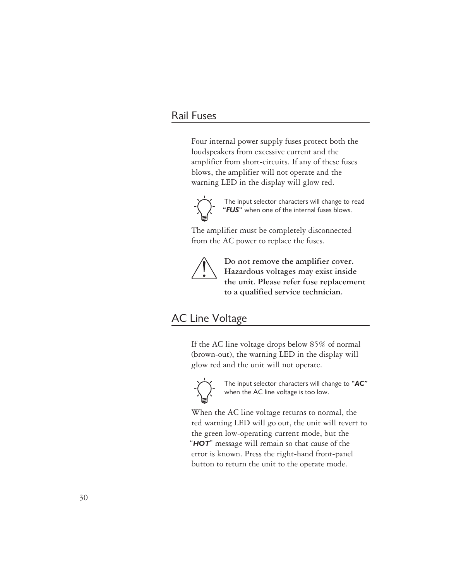#### Rail Fuses

Four internal power supply fuses protect both the loudspeakers from excessive current and the amplifier from short-circuits. If any of these fuses blows, the amplifier will not operate and the warning LED in the display will glow red.



The input selector characters will change to read "*FUS*" when one of the internal fuses blows.

The amplifier must be completely disconnected from the AC power to replace the fuses.



**Do not remove the amplifier cover. Hazardous voltages may exist inside the unit. Please refer fuse replacement to a qualified service technician.**

#### AC Line Voltage

If the AC line voltage drops below 85% of normal (brown-out), the warning LED in the display will glow red and the unit will not operate.



The input selector characters will change to "*AC*" when the AC line voltage is too low.

When the AC line voltage returns to normal, the red warning LED will go out, the unit will revert to the green low-operating current mode, but the "*HOT*" message will remain so that cause of the error is known. Press the right-hand front-panel button to return the unit to the operate mode.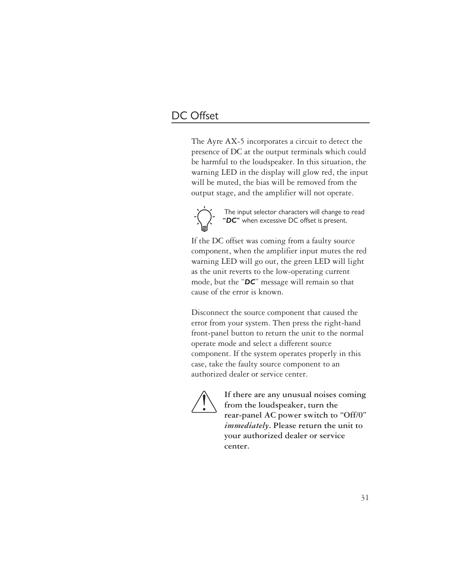#### DC Offset

The Ayre AX-5 incorporates a circuit to detect the presence of DC at the output terminals which could be harmful to the loudspeaker. In this situation, the warning LED in the display will glow red, the input will be muted, the bias will be removed from the output stage, and the amplifier will not operate.



The input selector characters will change to read "*DC*" when excessive DC offset is present.

If the DC offset was coming from a faulty source component, when the amplifier input mutes the red warning LED will go out, the green LED will light as the unit reverts to the low-operating current mode, but the "*DC*" message will remain so that cause of the error is known.

Disconnect the source component that caused the error from your system. Then press the right-hand front-panel button to return the unit to the normal operate mode and select a different source component. If the system operates properly in this case, take the faulty source component to an authorized dealer or service center.



**If there are any unusual noises coming from the loudspeaker, turn the rear-panel AC power switch to "Off/0"** *immediately***. Please return the unit to your authorized dealer or service center.**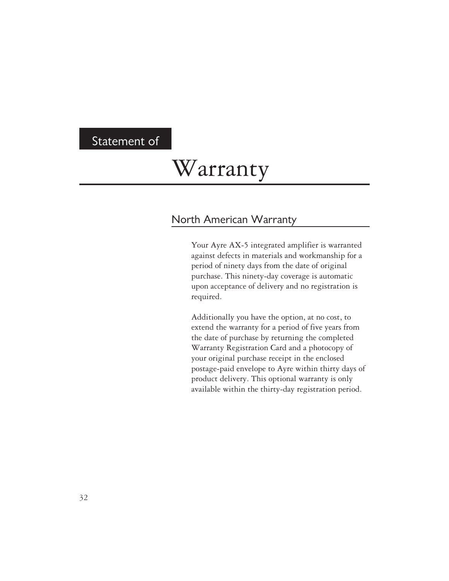#### Statement of

### Warranty

#### North American Warranty

Your Ayre AX-5 integrated amplifier is warranted against defects in materials and workmanship for a period of ninety days from the date of original purchase. This ninety-day coverage is automatic upon acceptance of delivery and no registration is required.

Additionally you have the option, at no cost, to extend the warranty for a period of five years from the date of purchase by returning the completed Warranty Registration Card and a photocopy of your original purchase receipt in the enclosed postage-paid envelope to Ayre within thirty days of product delivery. This optional warranty is only available within the thirty-day registration period.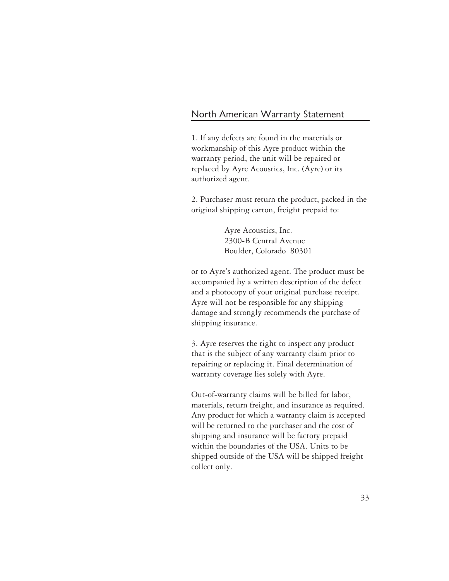#### North American Warranty Statement

1. If any defects are found in the materials or workmanship of this Ayre product within the warranty period, the unit will be repaired or replaced by Ayre Acoustics, Inc. (Ayre) or its authorized agent.

2. Purchaser must return the product, packed in the original shipping carton, freight prepaid to:

> Ayre Acoustics, Inc. 2300-B Central Avenue Boulder, Colorado 80301

or to Ayre's authorized agent. The product must be accompanied by a written description of the defect and a photocopy of your original purchase receipt. Ayre will not be responsible for any shipping damage and strongly recommends the purchase of shipping insurance.

3. Ayre reserves the right to inspect any product that is the subject of any warranty claim prior to repairing or replacing it. Final determination of warranty coverage lies solely with Ayre.

Out-of-warranty claims will be billed for labor, materials, return freight, and insurance as required. Any product for which a warranty claim is accepted will be returned to the purchaser and the cost of shipping and insurance will be factory prepaid within the boundaries of the USA. Units to be shipped outside of the USA will be shipped freight collect only.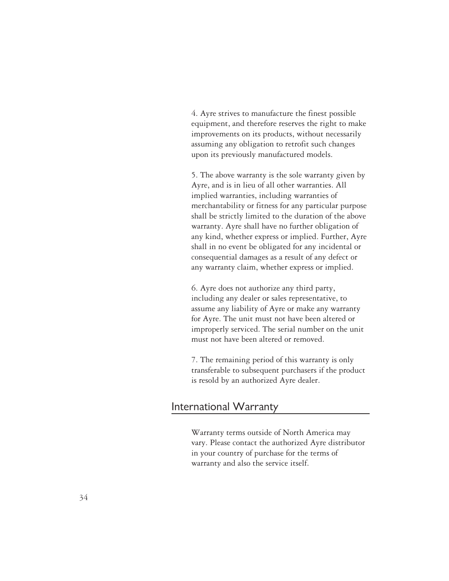4. Ayre strives to manufacture the finest possible equipment, and therefore reserves the right to make improvements on its products, without necessarily assuming any obligation to retrofit such changes upon its previously manufactured models.

5. The above warranty is the sole warranty given by Ayre, and is in lieu of all other warranties. All implied warranties, including warranties of merchantability or fitness for any particular purpose shall be strictly limited to the duration of the above warranty. Ayre shall have no further obligation of any kind, whether express or implied. Further, Ayre shall in no event be obligated for any incidental or consequential damages as a result of any defect or any warranty claim, whether express or implied.

6. Ayre does not authorize any third party, including any dealer or sales representative, to assume any liability of Ayre or make any warranty for Ayre. The unit must not have been altered or improperly serviced. The serial number on the unit must not have been altered or removed.

7. The remaining period of this warranty is only transferable to subsequent purchasers if the product is resold by an authorized Ayre dealer.

#### International Warranty

Warranty terms outside of North America may vary. Please contact the authorized Ayre distributor in your country of purchase for the terms of warranty and also the service itself.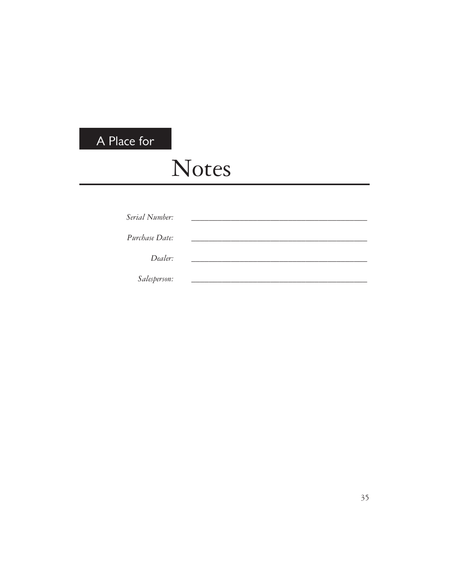### A Place for

# Notes

| Serial Number: |  |
|----------------|--|
| Purchase Date: |  |
| Dealer:        |  |
| Salesperson:   |  |